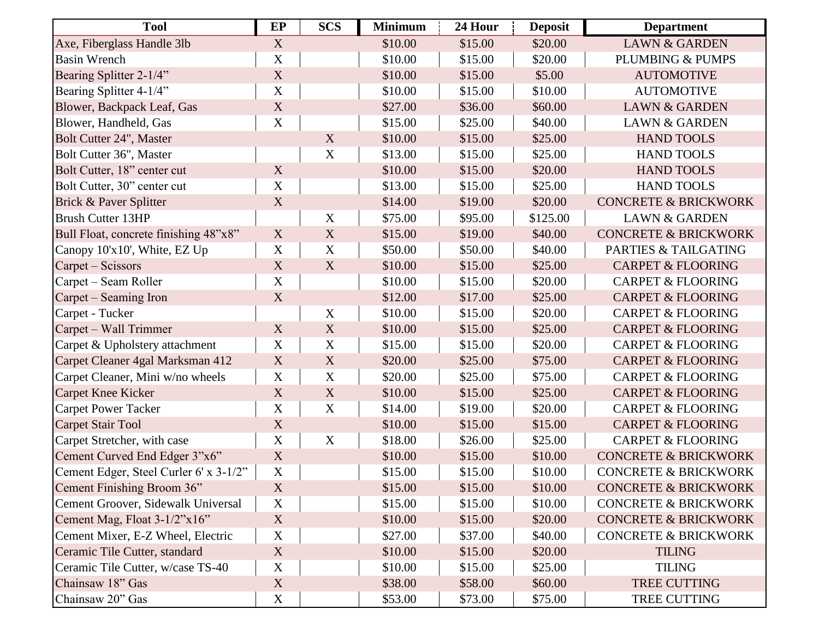| <b>Tool</b>                            | EP          | <b>SCS</b>  | <b>Minimum</b> | 24 Hour | <b>Deposit</b> | <b>Department</b>               |
|----------------------------------------|-------------|-------------|----------------|---------|----------------|---------------------------------|
| Axe, Fiberglass Handle 3lb             | X           |             | \$10.00        | \$15.00 | \$20.00        | <b>LAWN &amp; GARDEN</b>        |
| <b>Basin Wrench</b>                    | $\mathbf X$ |             | \$10.00        | \$15.00 | \$20.00        | PLUMBING & PUMPS                |
| Bearing Splitter 2-1/4"                | $\mathbf X$ |             | \$10.00        | \$15.00 | \$5.00         | <b>AUTOMOTIVE</b>               |
| Bearing Splitter 4-1/4"                | $\mathbf X$ |             | \$10.00        | \$15.00 | \$10.00        | <b>AUTOMOTIVE</b>               |
| Blower, Backpack Leaf, Gas             | $\mathbf X$ |             | \$27.00        | \$36.00 | \$60.00        | <b>LAWN &amp; GARDEN</b>        |
| Blower, Handheld, Gas                  | $\mathbf X$ |             | \$15.00        | \$25.00 | \$40.00        | <b>LAWN &amp; GARDEN</b>        |
| Bolt Cutter 24", Master                |             | X           | \$10.00        | \$15.00 | \$25.00        | <b>HAND TOOLS</b>               |
| Bolt Cutter 36", Master                |             | $\mathbf X$ | \$13.00        | \$15.00 | \$25.00        | <b>HAND TOOLS</b>               |
| Bolt Cutter, 18" center cut            | X           |             | \$10.00        | \$15.00 | \$20.00        | <b>HAND TOOLS</b>               |
| Bolt Cutter, 30" center cut            | $\mathbf X$ |             | \$13.00        | \$15.00 | \$25.00        | <b>HAND TOOLS</b>               |
| Brick & Paver Splitter                 | $\mathbf X$ |             | \$14.00        | \$19.00 | \$20.00        | <b>CONCRETE &amp; BRICKWORK</b> |
| <b>Brush Cutter 13HP</b>               |             | X           | \$75.00        | \$95.00 | \$125.00       | <b>LAWN &amp; GARDEN</b>        |
| Bull Float, concrete finishing 48"x8"  | $\mathbf X$ | X           | \$15.00        | \$19.00 | \$40.00        | <b>CONCRETE &amp; BRICKWORK</b> |
| Canopy 10'x10', White, EZ Up           | $\mathbf X$ | X           | \$50.00        | \$50.00 | \$40.00        | PARTIES & TAILGATING            |
| Carpet – Scissors                      | X           | X           | \$10.00        | \$15.00 | \$25.00        | <b>CARPET &amp; FLOORING</b>    |
| Carpet – Seam Roller                   | $\mathbf X$ |             | \$10.00        | \$15.00 | \$20.00        | <b>CARPET &amp; FLOORING</b>    |
| Carpet – Seaming Iron                  | X           |             | \$12.00        | \$17.00 | \$25.00        | <b>CARPET &amp; FLOORING</b>    |
| Carpet - Tucker                        |             | $\mathbf X$ | \$10.00        | \$15.00 | \$20.00        | <b>CARPET &amp; FLOORING</b>    |
| Carpet – Wall Trimmer                  | $\mathbf X$ | X           | \$10.00        | \$15.00 | \$25.00        | <b>CARPET &amp; FLOORING</b>    |
| Carpet & Upholstery attachment         | $\mathbf X$ | $\mathbf X$ | \$15.00        | \$15.00 | \$20.00        | <b>CARPET &amp; FLOORING</b>    |
| Carpet Cleaner 4gal Marksman 412       | X           | X           | \$20.00        | \$25.00 | \$75.00        | <b>CARPET &amp; FLOORING</b>    |
| Carpet Cleaner, Mini w/no wheels       | X           | $\mathbf X$ | \$20.00        | \$25.00 | \$75.00        | <b>CARPET &amp; FLOORING</b>    |
| <b>Carpet Knee Kicker</b>              | X           | X           | \$10.00        | \$15.00 | \$25.00        | <b>CARPET &amp; FLOORING</b>    |
| <b>Carpet Power Tacker</b>             | $\mathbf X$ | $\mathbf X$ | \$14.00        | \$19.00 | \$20.00        | <b>CARPET &amp; FLOORING</b>    |
| <b>Carpet Stair Tool</b>               | $\mathbf X$ |             | \$10.00        | \$15.00 | \$15.00        | <b>CARPET &amp; FLOORING</b>    |
| Carpet Stretcher, with case            | $\mathbf X$ | $\mathbf X$ | \$18.00        | \$26.00 | \$25.00        | <b>CARPET &amp; FLOORING</b>    |
| Cement Curved End Edger 3"x6"          | $\mathbf X$ |             | \$10.00        | \$15.00 | \$10.00        | <b>CONCRETE &amp; BRICKWORK</b> |
| Cement Edger, Steel Curler 6' x 3-1/2" | X           |             | \$15.00        | \$15.00 | \$10.00        | <b>CONCRETE &amp; BRICKWORK</b> |
| Cement Finishing Broom 36"             | X           |             | \$15.00        | \$15.00 | \$10.00        | <b>CONCRETE &amp; BRICKWORK</b> |
| Cement Groover, Sidewalk Universal     | X           |             | \$15.00        | \$15.00 | \$10.00        | <b>CONCRETE &amp; BRICKWORK</b> |
| Cement Mag, Float 3-1/2"x16"           | X           |             | \$10.00        | \$15.00 | \$20.00        | <b>CONCRETE &amp; BRICKWORK</b> |
| Cement Mixer, E-Z Wheel, Electric      | $\mathbf X$ |             | \$27.00        | \$37.00 | \$40.00        | <b>CONCRETE &amp; BRICKWORK</b> |
| Ceramic Tile Cutter, standard          | X           |             | \$10.00        | \$15.00 | \$20.00        | <b>TILING</b>                   |
| Ceramic Tile Cutter, w/case TS-40      | $\mathbf X$ |             | \$10.00        | \$15.00 | \$25.00        | <b>TILING</b>                   |
| Chainsaw 18" Gas                       | $\mathbf X$ |             | \$38.00        | \$58.00 | \$60.00        | TREE CUTTING                    |
| Chainsaw 20" Gas                       | $\mathbf X$ |             | \$53.00        | \$73.00 | \$75.00        | TREE CUTTING                    |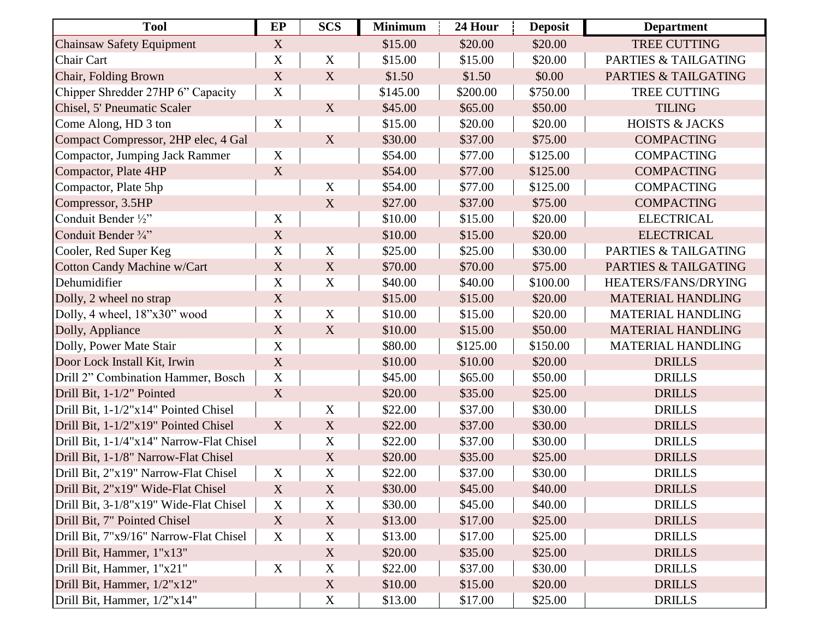| <b>Tool</b>                              | EP          | <b>SCS</b>                | <b>Minimum</b> | 24 Hour  | <b>Deposit</b> | <b>Department</b>               |
|------------------------------------------|-------------|---------------------------|----------------|----------|----------------|---------------------------------|
| <b>Chainsaw Safety Equipment</b>         | X           |                           | \$15.00        | \$20.00  | \$20.00        | <b>TREE CUTTING</b>             |
| Chair Cart                               | $\mathbf X$ | $\mathbf X$               | \$15.00        | \$15.00  | \$20.00        | PARTIES & TAILGATING            |
| Chair, Folding Brown                     | $\mathbf X$ | X                         | \$1.50         | \$1.50   | \$0.00         | PARTIES & TAILGATING            |
| Chipper Shredder 27HP 6" Capacity        | $\mathbf X$ |                           | \$145.00       | \$200.00 | \$750.00       | <b>TREE CUTTING</b>             |
| Chisel, 5' Pneumatic Scaler              |             | $\mathbf X$               | \$45.00        | \$65.00  | \$50.00        | <b>TILING</b>                   |
| Come Along, HD 3 ton                     | $\mathbf X$ |                           | \$15.00        | \$20.00  | \$20.00        | <b>HOISTS &amp; JACKS</b>       |
| Compact Compressor, 2HP elec, 4 Gal      |             | X                         | \$30.00        | \$37.00  | \$75.00        | <b>COMPACTING</b>               |
| <b>Compactor, Jumping Jack Rammer</b>    | $\mathbf X$ |                           | \$54.00        | \$77.00  | \$125.00       | <b>COMPACTING</b>               |
| Compactor, Plate 4HP                     | X           |                           | \$54.00        | \$77.00  | \$125.00       | <b>COMPACTING</b>               |
| Compactor, Plate 5hp                     |             | $\mathbf X$               | \$54.00        | \$77.00  | \$125.00       | <b>COMPACTING</b>               |
| Compressor, 3.5HP                        |             | X                         | \$27.00        | \$37.00  | \$75.00        | <b>COMPACTING</b>               |
| Conduit Bender 1/2"                      | $\mathbf X$ |                           | \$10.00        | \$15.00  | \$20.00        | <b>ELECTRICAL</b>               |
| Conduit Bender 3/4"                      | $\mathbf X$ |                           | \$10.00        | \$15.00  | \$20.00        | <b>ELECTRICAL</b>               |
| Cooler, Red Super Keg                    | $\mathbf X$ | $\mathbf X$               | \$25.00        | \$25.00  | \$30.00        | PARTIES & TAILGATING            |
| <b>Cotton Candy Machine w/Cart</b>       | $\mathbf X$ | X                         | \$70.00        | \$70.00  | \$75.00        | <b>PARTIES &amp; TAILGATING</b> |
| Dehumidifier                             | $\mathbf X$ | $\mathbf X$               | \$40.00        | \$40.00  | \$100.00       | HEATERS/FANS/DRYING             |
| Dolly, 2 wheel no strap                  | $\mathbf X$ |                           | \$15.00        | \$15.00  | \$20.00        | <b>MATERIAL HANDLING</b>        |
| Dolly, 4 wheel, 18"x30" wood             | $\mathbf X$ | $\mathbf X$               | \$10.00        | \$15.00  | \$20.00        | <b>MATERIAL HANDLING</b>        |
| Dolly, Appliance                         | $\mathbf X$ | X                         | \$10.00        | \$15.00  | \$50.00        | <b>MATERIAL HANDLING</b>        |
| Dolly, Power Mate Stair                  | $\mathbf X$ |                           | \$80.00        | \$125.00 | \$150.00       | <b>MATERIAL HANDLING</b>        |
| Door Lock Install Kit, Irwin             | $\mathbf X$ |                           | \$10.00        | \$10.00  | \$20.00        | <b>DRILLS</b>                   |
| Drill 2" Combination Hammer, Bosch       | $\mathbf X$ |                           | \$45.00        | \$65.00  | \$50.00        | <b>DRILLS</b>                   |
| Drill Bit, 1-1/2" Pointed                | $\mathbf X$ |                           | \$20.00        | \$35.00  | \$25.00        | <b>DRILLS</b>                   |
| Drill Bit, 1-1/2"x14" Pointed Chisel     |             | X                         | \$22.00        | \$37.00  | \$30.00        | <b>DRILLS</b>                   |
| Drill Bit, 1-1/2"x19" Pointed Chisel     | X           | $\mathbf X$               | \$22.00        | \$37.00  | \$30.00        | <b>DRILLS</b>                   |
| Drill Bit, 1-1/4"x14" Narrow-Flat Chisel |             | $\mathbf X$               | \$22.00        | \$37.00  | \$30.00        | <b>DRILLS</b>                   |
| Drill Bit, 1-1/8" Narrow-Flat Chisel     |             | X                         | \$20.00        | \$35.00  | \$25.00        | <b>DRILLS</b>                   |
| Drill Bit, 2"x19" Narrow-Flat Chisel     | $\mathbf X$ | $\boldsymbol{\mathrm{X}}$ | \$22.00        | \$37.00  | \$30.00        | <b>DRILLS</b>                   |
| Drill Bit, 2"x19" Wide-Flat Chisel       | X           | X                         | \$30.00        | \$45.00  | \$40.00        | <b>DRILLS</b>                   |
| Drill Bit, 3-1/8"x19" Wide-Flat Chisel   | $\mathbf X$ | $\mathbf X$               | \$30.00        | \$45.00  | \$40.00        | <b>DRILLS</b>                   |
| Drill Bit, 7" Pointed Chisel             | X           | X                         | \$13.00        | \$17.00  | \$25.00        | <b>DRILLS</b>                   |
| Drill Bit, 7"x9/16" Narrow-Flat Chisel   | $\mathbf X$ | $\mathbf X$               | \$13.00        | \$17.00  | \$25.00        | <b>DRILLS</b>                   |
| Drill Bit, Hammer, 1"x13"                |             | X                         | \$20.00        | \$35.00  | \$25.00        | <b>DRILLS</b>                   |
| Drill Bit, Hammer, 1"x21"                | $\mathbf X$ | $\mathbf X$               | \$22.00        | \$37.00  | \$30.00        | <b>DRILLS</b>                   |
| Drill Bit, Hammer, 1/2"x12"              |             | X                         | \$10.00        | \$15.00  | \$20.00        | <b>DRILLS</b>                   |
| Drill Bit, Hammer, 1/2"x14"              |             | $\mathbf X$               | \$13.00        | \$17.00  | \$25.00        | <b>DRILLS</b>                   |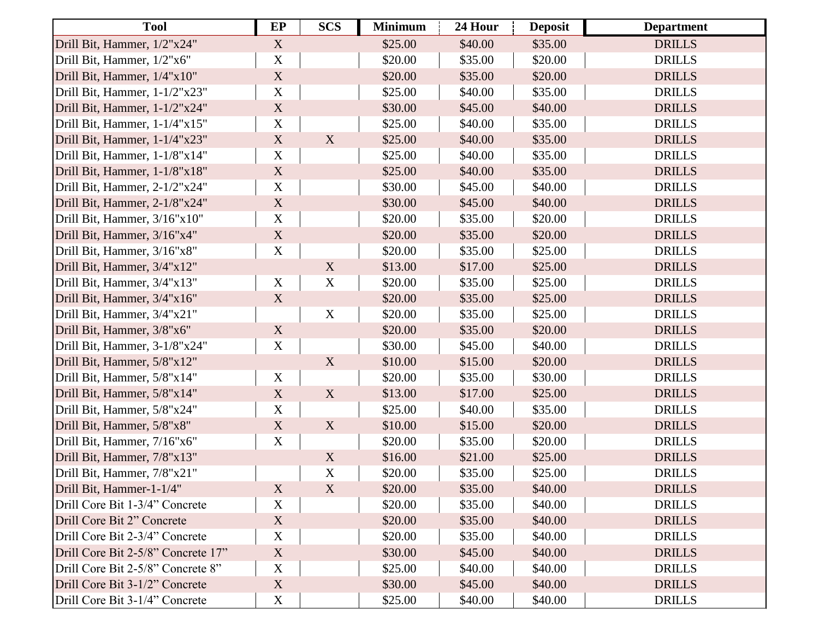| <b>Tool</b>                        | EP                        | <b>SCS</b>                | <b>Minimum</b> | 24 Hour | <b>Deposit</b> | <b>Department</b> |
|------------------------------------|---------------------------|---------------------------|----------------|---------|----------------|-------------------|
| Drill Bit, Hammer, 1/2"x24"        | $\mathbf X$               |                           | \$25.00        | \$40.00 | \$35.00        | <b>DRILLS</b>     |
| Drill Bit, Hammer, 1/2"x6"         | $\mathbf X$               |                           | \$20.00        | \$35.00 | \$20.00        | <b>DRILLS</b>     |
| Drill Bit, Hammer, 1/4"x10"        | $\mathbf X$               |                           | \$20.00        | \$35.00 | \$20.00        | <b>DRILLS</b>     |
| Drill Bit, Hammer, 1-1/2"x23"      | $\mathbf X$               |                           | \$25.00        | \$40.00 | \$35.00        | <b>DRILLS</b>     |
| Drill Bit, Hammer, 1-1/2"x24"      | $\mathbf X$               |                           | \$30.00        | \$45.00 | \$40.00        | <b>DRILLS</b>     |
| Drill Bit, Hammer, 1-1/4"x15"      | $\mathbf X$               |                           | \$25.00        | \$40.00 | \$35.00        | <b>DRILLS</b>     |
| Drill Bit, Hammer, 1-1/4"x23"      | $\mathbf X$               | $\mathbf X$               | \$25.00        | \$40.00 | \$35.00        | <b>DRILLS</b>     |
| Drill Bit, Hammer, 1-1/8"x14"      | $\mathbf X$               |                           | \$25.00        | \$40.00 | \$35.00        | <b>DRILLS</b>     |
| Drill Bit, Hammer, 1-1/8"x18"      | $\mathbf X$               |                           | \$25.00        | \$40.00 | \$35.00        | <b>DRILLS</b>     |
| Drill Bit, Hammer, 2-1/2"x24"      | $\mathbf X$               |                           | \$30.00        | \$45.00 | \$40.00        | <b>DRILLS</b>     |
| Drill Bit, Hammer, 2-1/8"x24"      | $\mathbf X$               |                           | \$30.00        | \$45.00 | \$40.00        | <b>DRILLS</b>     |
| Drill Bit, Hammer, 3/16"x10"       | $\mathbf X$               |                           | \$20.00        | \$35.00 | \$20.00        | <b>DRILLS</b>     |
| Drill Bit, Hammer, 3/16"x4"        | $\mathbf X$               |                           | \$20.00        | \$35.00 | \$20.00        | <b>DRILLS</b>     |
| Drill Bit, Hammer, 3/16"x8"        | $\mathbf X$               |                           | \$20.00        | \$35.00 | \$25.00        | <b>DRILLS</b>     |
| Drill Bit, Hammer, 3/4"x12"        |                           | X                         | \$13.00        | \$17.00 | \$25.00        | <b>DRILLS</b>     |
| Drill Bit, Hammer, 3/4"x13"        | $\mathbf X$               | $\mathbf X$               | \$20.00        | \$35.00 | \$25.00        | <b>DRILLS</b>     |
| Drill Bit, Hammer, 3/4"x16"        | X                         |                           | \$20.00        | \$35.00 | \$25.00        | <b>DRILLS</b>     |
| Drill Bit, Hammer, 3/4"x21"        |                           | $\mathbf X$               | \$20.00        | \$35.00 | \$25.00        | <b>DRILLS</b>     |
| Drill Bit, Hammer, 3/8"x6"         | $\mathbf X$               |                           | \$20.00        | \$35.00 | \$20.00        | <b>DRILLS</b>     |
| Drill Bit, Hammer, 3-1/8"x24"      | $\mathbf X$               |                           | \$30.00        | \$45.00 | \$40.00        | <b>DRILLS</b>     |
| Drill Bit, Hammer, 5/8"x12"        |                           | $\boldsymbol{\mathrm{X}}$ | \$10.00        | \$15.00 | \$20.00        | <b>DRILLS</b>     |
| Drill Bit, Hammer, 5/8"x14"        | $\mathbf X$               |                           | \$20.00        | \$35.00 | \$30.00        | <b>DRILLS</b>     |
| Drill Bit, Hammer, 5/8"x14"        | X                         | $\mathbf X$               | \$13.00        | \$17.00 | \$25.00        | <b>DRILLS</b>     |
| Drill Bit, Hammer, 5/8"x24"        | $\boldsymbol{\mathrm{X}}$ |                           | \$25.00        | \$40.00 | \$35.00        | <b>DRILLS</b>     |
| Drill Bit, Hammer, 5/8"x8"         | $\mathbf X$               | $\boldsymbol{\mathrm{X}}$ | \$10.00        | \$15.00 | \$20.00        | <b>DRILLS</b>     |
| Drill Bit, Hammer, 7/16"x6"        | $\mathbf X$               |                           | \$20.00        | \$35.00 | \$20.00        | <b>DRILLS</b>     |
| Drill Bit, Hammer, 7/8"x13"        |                           | $\mathbf X$               | \$16.00        | \$21.00 | \$25.00        | <b>DRILLS</b>     |
| Drill Bit, Hammer, 7/8"x21"        |                           | $\mathbf X$               | \$20.00        | \$35.00 | \$25.00        | <b>DRILLS</b>     |
| Drill Bit, Hammer-1-1/4"           | X                         | X                         | \$20.00        | \$35.00 | \$40.00        | <b>DRILLS</b>     |
| Drill Core Bit 1-3/4" Concrete     | $\mathbf X$               |                           | \$20.00        | \$35.00 | \$40.00        | <b>DRILLS</b>     |
| Drill Core Bit 2" Concrete         | X                         |                           | \$20.00        | \$35.00 | \$40.00        | <b>DRILLS</b>     |
| Drill Core Bit 2-3/4" Concrete     | $\mathbf X$               |                           | \$20.00        | \$35.00 | \$40.00        | <b>DRILLS</b>     |
| Drill Core Bit 2-5/8" Concrete 17" | X                         |                           | \$30.00        | \$45.00 | \$40.00        | <b>DRILLS</b>     |
| Drill Core Bit 2-5/8" Concrete 8"  | $\mathbf X$               |                           | \$25.00        | \$40.00 | \$40.00        | <b>DRILLS</b>     |
| Drill Core Bit 3-1/2" Concrete     | X                         |                           | \$30.00        | \$45.00 | \$40.00        | <b>DRILLS</b>     |
| Drill Core Bit 3-1/4" Concrete     | X                         |                           | \$25.00        | \$40.00 | \$40.00        | <b>DRILLS</b>     |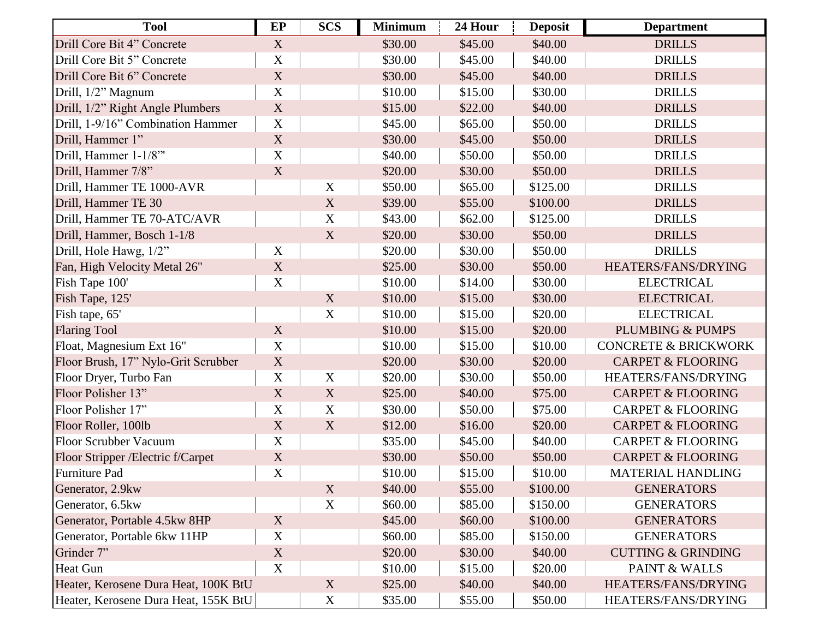| <b>Tool</b>                          | EP                        | <b>SCS</b>  | <b>Minimum</b> | 24 Hour | <b>Deposit</b> | <b>Department</b>               |
|--------------------------------------|---------------------------|-------------|----------------|---------|----------------|---------------------------------|
| Drill Core Bit 4" Concrete           | X                         |             | \$30.00        | \$45.00 | \$40.00        | <b>DRILLS</b>                   |
| Drill Core Bit 5" Concrete           | X                         |             | \$30.00        | \$45.00 | \$40.00        | <b>DRILLS</b>                   |
| Drill Core Bit 6" Concrete           | $\mathbf X$               |             | \$30.00        | \$45.00 | \$40.00        | <b>DRILLS</b>                   |
| Drill, 1/2" Magnum                   | X                         |             | \$10.00        | \$15.00 | \$30.00        | <b>DRILLS</b>                   |
| Drill, 1/2" Right Angle Plumbers     | X                         |             | \$15.00        | \$22.00 | \$40.00        | <b>DRILLS</b>                   |
| Drill, 1-9/16" Combination Hammer    | $\mathbf X$               |             | \$45.00        | \$65.00 | \$50.00        | <b>DRILLS</b>                   |
| Drill, Hammer 1"                     | $\mathbf X$               |             | \$30.00        | \$45.00 | \$50.00        | <b>DRILLS</b>                   |
| Drill, Hammer 1-1/8"                 | $\mathbf X$               |             | \$40.00        | \$50.00 | \$50.00        | <b>DRILLS</b>                   |
| Drill, Hammer 7/8"                   | X                         |             | \$20.00        | \$30.00 | \$50.00        | <b>DRILLS</b>                   |
| Drill, Hammer TE 1000-AVR            |                           | $\mathbf X$ | \$50.00        | \$65.00 | \$125.00       | <b>DRILLS</b>                   |
| Drill, Hammer TE 30                  |                           | $\mathbf X$ | \$39.00        | \$55.00 | \$100.00       | <b>DRILLS</b>                   |
| Drill, Hammer TE 70-ATC/AVR          |                           | $\mathbf X$ | \$43.00        | \$62.00 | \$125.00       | <b>DRILLS</b>                   |
| Drill, Hammer, Bosch 1-1/8           |                           | $\mathbf X$ | \$20.00        | \$30.00 | \$50.00        | <b>DRILLS</b>                   |
| Drill, Hole Hawg, 1/2"               | $\mathbf X$               |             | \$20.00        | \$30.00 | \$50.00        | <b>DRILLS</b>                   |
| Fan, High Velocity Metal 26"         | $\boldsymbol{\mathrm{X}}$ |             | \$25.00        | \$30.00 | \$50.00        | HEATERS/FANS/DRYING             |
| Fish Tape 100'                       | X                         |             | \$10.00        | \$14.00 | \$30.00        | <b>ELECTRICAL</b>               |
| Fish Tape, 125'                      |                           | X           | \$10.00        | \$15.00 | \$30.00        | <b>ELECTRICAL</b>               |
| Fish tape, 65'                       |                           | $\mathbf X$ | \$10.00        | \$15.00 | \$20.00        | <b>ELECTRICAL</b>               |
| <b>Flaring Tool</b>                  | $\mathbf X$               |             | \$10.00        | \$15.00 | \$20.00        | <b>PLUMBING &amp; PUMPS</b>     |
| Float, Magnesium Ext 16"             | X                         |             | \$10.00        | \$15.00 | \$10.00        | <b>CONCRETE &amp; BRICKWORK</b> |
| Floor Brush, 17" Nylo-Grit Scrubber  | $\mathbf X$               |             | \$20.00        | \$30.00 | \$20.00        | <b>CARPET &amp; FLOORING</b>    |
| Floor Dryer, Turbo Fan               | $\mathbf X$               | $\mathbf X$ | \$20.00        | \$30.00 | \$50.00        | HEATERS/FANS/DRYING             |
| Floor Polisher 13"                   | $\mathbf X$               | $\mathbf X$ | \$25.00        | \$40.00 | \$75.00        | <b>CARPET &amp; FLOORING</b>    |
| Floor Polisher 17"                   | $\mathbf X$               | $\mathbf X$ | \$30.00        | \$50.00 | \$75.00        | <b>CARPET &amp; FLOORING</b>    |
| Floor Roller, 100lb                  | $\mathbf X$               | X           | \$12.00        | \$16.00 | \$20.00        | <b>CARPET &amp; FLOORING</b>    |
| <b>Floor Scrubber Vacuum</b>         | $\mathbf X$               |             | \$35.00        | \$45.00 | \$40.00        | <b>CARPET &amp; FLOORING</b>    |
| Floor Stripper / Electric f/Carpet   | $\mathbf X$               |             | \$30.00        | \$50.00 | \$50.00        | <b>CARPET &amp; FLOORING</b>    |
| Furniture Pad                        | $\mathbf X$               |             | \$10.00        | \$15.00 | \$10.00        | <b>MATERIAL HANDLING</b>        |
| Generator, 2.9kw                     |                           | X           | \$40.00        | \$55.00 | \$100.00       | <b>GENERATORS</b>               |
| Generator, 6.5kw                     |                           | $\mathbf X$ | \$60.00        | \$85.00 | \$150.00       | <b>GENERATORS</b>               |
| Generator, Portable 4.5kw 8HP        | X                         |             | \$45.00        | \$60.00 | \$100.00       | <b>GENERATORS</b>               |
| Generator, Portable 6kw 11HP         | $\mathbf X$               |             | \$60.00        | \$85.00 | \$150.00       | <b>GENERATORS</b>               |
| Grinder 7"                           | X                         |             | \$20.00        | \$30.00 | \$40.00        | <b>CUTTING &amp; GRINDING</b>   |
| <b>Heat Gun</b>                      | X                         |             | \$10.00        | \$15.00 | \$20.00        | PAINT & WALLS                   |
| Heater, Kerosene Dura Heat, 100K BtU |                           | X           | \$25.00        | \$40.00 | \$40.00        | HEATERS/FANS/DRYING             |
| Heater, Kerosene Dura Heat, 155K BtU |                           | $\mathbf X$ | \$35.00        | \$55.00 | \$50.00        | HEATERS/FANS/DRYING             |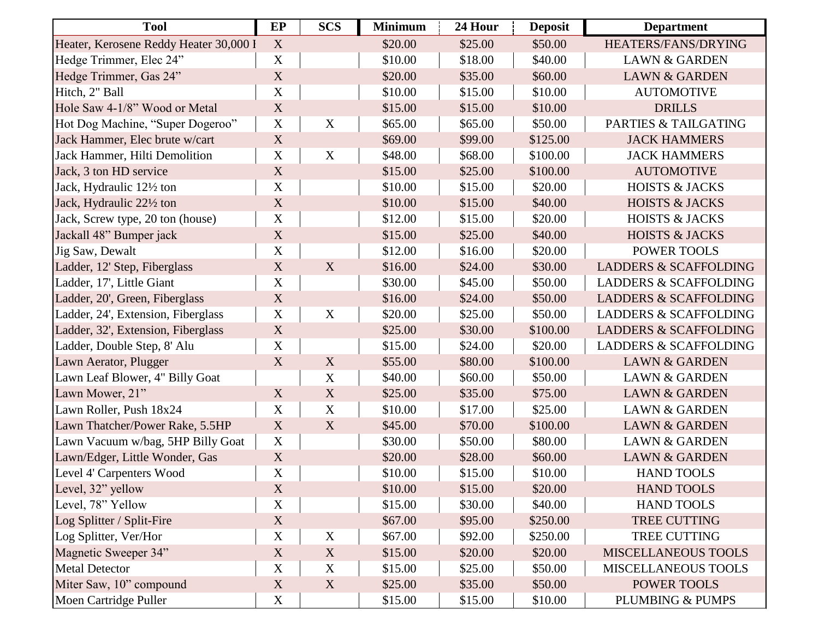| <b>Tool</b>                            | EP                        | <b>SCS</b>  | <b>Minimum</b> | 24 Hour | <b>Deposit</b> | <b>Department</b>                |
|----------------------------------------|---------------------------|-------------|----------------|---------|----------------|----------------------------------|
| Heater, Kerosene Reddy Heater 30,000 I | X                         |             | \$20.00        | \$25.00 | \$50.00        | HEATERS/FANS/DRYING              |
| Hedge Trimmer, Elec 24"                | $\mathbf X$               |             | \$10.00        | \$18.00 | \$40.00        | <b>LAWN &amp; GARDEN</b>         |
| Hedge Trimmer, Gas 24"                 | $\mathbf X$               |             | \$20.00        | \$35.00 | \$60.00        | <b>LAWN &amp; GARDEN</b>         |
| Hitch, 2" Ball                         | $\mathbf X$               |             | \$10.00        | \$15.00 | \$10.00        | <b>AUTOMOTIVE</b>                |
| Hole Saw 4-1/8" Wood or Metal          | $\mathbf X$               |             | \$15.00        | \$15.00 | \$10.00        | <b>DRILLS</b>                    |
| Hot Dog Machine, "Super Dogeroo"       | $\mathbf X$               | $\mathbf X$ | \$65.00        | \$65.00 | \$50.00        | PARTIES & TAILGATING             |
| Jack Hammer, Elec brute w/cart         | $\mathbf X$               |             | \$69.00        | \$99.00 | \$125.00       | <b>JACK HAMMERS</b>              |
| Jack Hammer, Hilti Demolition          | $\mathbf X$               | $\mathbf X$ | \$48.00        | \$68.00 | \$100.00       | <b>JACK HAMMERS</b>              |
| Jack, 3 ton HD service                 | X                         |             | \$15.00        | \$25.00 | \$100.00       | <b>AUTOMOTIVE</b>                |
| Jack, Hydraulic 121/2 ton              | $\mathbf X$               |             | \$10.00        | \$15.00 | \$20.00        | <b>HOISTS &amp; JACKS</b>        |
| Jack, Hydraulic 221/2 ton              | $\mathbf X$               |             | \$10.00        | \$15.00 | \$40.00        | <b>HOISTS &amp; JACKS</b>        |
| Jack, Screw type, 20 ton (house)       | $\mathbf X$               |             | \$12.00        | \$15.00 | \$20.00        | <b>HOISTS &amp; JACKS</b>        |
| Jackall 48" Bumper jack                | $\mathbf X$               |             | \$15.00        | \$25.00 | \$40.00        | <b>HOISTS &amp; JACKS</b>        |
| Jig Saw, Dewalt                        | $\mathbf X$               |             | \$12.00        | \$16.00 | \$20.00        | POWER TOOLS                      |
| Ladder, 12' Step, Fiberglass           | $\mathbf X$               | X           | \$16.00        | \$24.00 | \$30.00        | <b>LADDERS &amp; SCAFFOLDING</b> |
| Ladder, 17', Little Giant              | $\mathbf X$               |             | \$30.00        | \$45.00 | \$50.00        | <b>LADDERS &amp; SCAFFOLDING</b> |
| Ladder, 20', Green, Fiberglass         | X                         |             | \$16.00        | \$24.00 | \$50.00        | <b>LADDERS &amp; SCAFFOLDING</b> |
| Ladder, 24', Extension, Fiberglass     | $\mathbf X$               | $\mathbf X$ | \$20.00        | \$25.00 | \$50.00        | <b>LADDERS &amp; SCAFFOLDING</b> |
| Ladder, 32', Extension, Fiberglass     | $\mathbf X$               |             | \$25.00        | \$30.00 | \$100.00       | <b>LADDERS &amp; SCAFFOLDING</b> |
| Ladder, Double Step, 8' Alu            | $\mathbf X$               |             | \$15.00        | \$24.00 | \$20.00        | <b>LADDERS &amp; SCAFFOLDING</b> |
| Lawn Aerator, Plugger                  | $\mathbf X$               | $\mathbf X$ | \$55.00        | \$80.00 | \$100.00       | <b>LAWN &amp; GARDEN</b>         |
| Lawn Leaf Blower, 4" Billy Goat        |                           | $\mathbf X$ | \$40.00        | \$60.00 | \$50.00        | <b>LAWN &amp; GARDEN</b>         |
| Lawn Mower, 21"                        | $\mathbf X$               | $\mathbf X$ | \$25.00        | \$35.00 | \$75.00        | <b>LAWN &amp; GARDEN</b>         |
| Lawn Roller, Push 18x24                | $\mathbf X$               | $\mathbf X$ | \$10.00        | \$17.00 | \$25.00        | <b>LAWN &amp; GARDEN</b>         |
| Lawn Thatcher/Power Rake, 5.5HP        | X                         | X           | \$45.00        | \$70.00 | \$100.00       | <b>LAWN &amp; GARDEN</b>         |
| Lawn Vacuum w/bag, 5HP Billy Goat      | $\mathbf X$               |             | \$30.00        | \$50.00 | \$80.00        | <b>LAWN &amp; GARDEN</b>         |
| Lawn/Edger, Little Wonder, Gas         | X                         |             | \$20.00        | \$28.00 | \$60.00        | <b>LAWN &amp; GARDEN</b>         |
| Level 4' Carpenters Wood               | $\mathbf X$               |             | \$10.00        | \$15.00 | \$10.00        | <b>HAND TOOLS</b>                |
| Level, 32" yellow                      | X                         |             | \$10.00        | \$15.00 | \$20.00        | <b>HAND TOOLS</b>                |
| Level, 78" Yellow                      | $\mathbf X$               |             | \$15.00        | \$30.00 | \$40.00        | <b>HAND TOOLS</b>                |
| Log Splitter / Split-Fire              | $\mathbf X$               |             | \$67.00        | \$95.00 | \$250.00       | TREE CUTTING                     |
| Log Splitter, Ver/Hor                  | $\mathbf X$               | $\mathbf X$ | \$67.00        | \$92.00 | \$250.00       | TREE CUTTING                     |
| Magnetic Sweeper 34"                   | X                         | X           | \$15.00        | \$20.00 | \$20.00        | MISCELLANEOUS TOOLS              |
| <b>Metal Detector</b>                  | $\mathbf X$               | $\mathbf X$ | \$15.00        | \$25.00 | \$50.00        | <b>MISCELLANEOUS TOOLS</b>       |
| Miter Saw, 10" compound                | $\boldsymbol{\mathrm{X}}$ | X           | \$25.00        | \$35.00 | \$50.00        | POWER TOOLS                      |
| Moen Cartridge Puller                  | X                         |             | \$15.00        | \$15.00 | \$10.00        | PLUMBING & PUMPS                 |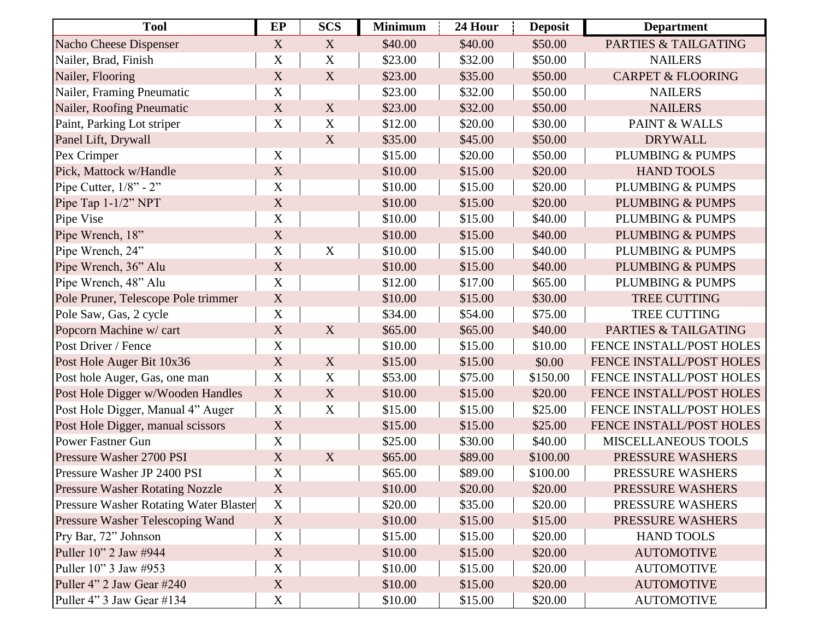| <b>Tool</b>                                   | EP                        | <b>SCS</b>                | <b>Minimum</b> | 24 Hour | <b>Deposit</b> | <b>Department</b>               |
|-----------------------------------------------|---------------------------|---------------------------|----------------|---------|----------------|---------------------------------|
| <b>Nacho Cheese Dispenser</b>                 | X                         | X                         | \$40.00        | \$40.00 | \$50.00        | <b>PARTIES &amp; TAILGATING</b> |
| Nailer, Brad, Finish                          | X                         | $\mathbf X$               | \$23.00        | \$32.00 | \$50.00        | <b>NAILERS</b>                  |
| Nailer, Flooring                              | X                         | X                         | \$23.00        | \$35.00 | \$50.00        | <b>CARPET &amp; FLOORING</b>    |
| Nailer, Framing Pneumatic                     | $\mathbf X$               |                           | \$23.00        | \$32.00 | \$50.00        | <b>NAILERS</b>                  |
| Nailer, Roofing Pneumatic                     | $\mathbf X$               | $\boldsymbol{\mathrm{X}}$ | \$23.00        | \$32.00 | \$50.00        | <b>NAILERS</b>                  |
| Paint, Parking Lot striper                    | $\mathbf X$               | $\mathbf X$               | \$12.00        | \$20.00 | \$30.00        | <b>PAINT &amp; WALLS</b>        |
| Panel Lift, Drywall                           |                           | X                         | \$35.00        | \$45.00 | \$50.00        | <b>DRYWALL</b>                  |
| Pex Crimper                                   | $\mathbf X$               |                           | \$15.00        | \$20.00 | \$50.00        | PLUMBING & PUMPS                |
| Pick, Mattock w/Handle                        | $\mathbf X$               |                           | \$10.00        | \$15.00 | \$20.00        | <b>HAND TOOLS</b>               |
| Pipe Cutter, $1/8$ " - 2"                     | $\mathbf X$               |                           | \$10.00        | \$15.00 | \$20.00        | PLUMBING & PUMPS                |
| Pipe Tap 1-1/2" NPT                           | X                         |                           | \$10.00        | \$15.00 | \$20.00        | <b>PLUMBING &amp; PUMPS</b>     |
| Pipe Vise                                     | $\mathbf X$               |                           | \$10.00        | \$15.00 | \$40.00        | PLUMBING & PUMPS                |
| Pipe Wrench, 18"                              | $\mathbf X$               |                           | \$10.00        | \$15.00 | \$40.00        | <b>PLUMBING &amp; PUMPS</b>     |
| Pipe Wrench, 24"                              | X                         | $\mathbf X$               | \$10.00        | \$15.00 | \$40.00        | <b>PLUMBING &amp; PUMPS</b>     |
| Pipe Wrench, 36" Alu                          | $\mathbf X$               |                           | \$10.00        | \$15.00 | \$40.00        | <b>PLUMBING &amp; PUMPS</b>     |
| Pipe Wrench, 48" Alu                          | X                         |                           | \$12.00        | \$17.00 | \$65.00        | PLUMBING & PUMPS                |
| Pole Pruner, Telescope Pole trimmer           | $\mathbf X$               |                           | \$10.00        | \$15.00 | \$30.00        | <b>TREE CUTTING</b>             |
| Pole Saw, Gas, 2 cycle                        | X                         |                           | \$34.00        | \$54.00 | \$75.00        | <b>TREE CUTTING</b>             |
| Popcorn Machine w/ cart                       | $\mathbf X$               | X                         | \$65.00        | \$65.00 | \$40.00        | <b>PARTIES &amp; TAILGATING</b> |
| Post Driver / Fence                           | $\mathbf X$               |                           | \$10.00        | \$15.00 | \$10.00        | FENCE INSTALL/POST HOLES        |
| Post Hole Auger Bit 10x36                     | $\mathbf X$               | X                         | \$15.00        | \$15.00 | \$0.00         | FENCE INSTALL/POST HOLES        |
| Post hole Auger, Gas, one man                 | $\mathbf X$               | $\mathbf X$               | \$53.00        | \$75.00 | \$150.00       | FENCE INSTALL/POST HOLES        |
| Post Hole Digger w/Wooden Handles             | $\mathbf X$               | $\boldsymbol{\mathrm{X}}$ | \$10.00        | \$15.00 | \$20.00        | FENCE INSTALL/POST HOLES        |
| Post Hole Digger, Manual 4" Auger             | $\mathbf X$               | $\mathbf X$               | \$15.00        | \$15.00 | \$25.00        | FENCE INSTALL/POST HOLES        |
| Post Hole Digger, manual scissors             | $\mathbf X$               |                           | \$15.00        | \$15.00 | \$25.00        | FENCE INSTALL/POST HOLES        |
| <b>Power Fastner Gun</b>                      | $\mathbf X$               |                           | \$25.00        | \$30.00 | \$40.00        | MISCELLANEOUS TOOLS             |
| Pressure Washer 2700 PSI                      | $\mathbf X$               | X                         | \$65.00        | \$89.00 | \$100.00       | PRESSURE WASHERS                |
| Pressure Washer JP 2400 PSI                   | $\boldsymbol{\mathrm{X}}$ |                           | \$65.00        | \$89.00 | \$100.00       | PRESSURE WASHERS                |
| <b>Pressure Washer Rotating Nozzle</b>        | X                         |                           | \$10.00        | \$20.00 | \$20.00        | PRESSURE WASHERS                |
| <b>Pressure Washer Rotating Water Blaster</b> | $\mathbf X$               |                           | \$20.00        | \$35.00 | \$20.00        | PRESSURE WASHERS                |
| Pressure Washer Telescoping Wand              | $\mathbf X$               |                           | \$10.00        | \$15.00 | \$15.00        | PRESSURE WASHERS                |
| Pry Bar, 72" Johnson                          | $\mathbf X$               |                           | \$15.00        | \$15.00 | \$20.00        | <b>HAND TOOLS</b>               |
| Puller 10" 2 Jaw #944                         | $\mathbf X$               |                           | \$10.00        | \$15.00 | \$20.00        | <b>AUTOMOTIVE</b>               |
| Puller 10" 3 Jaw #953                         | X                         |                           | \$10.00        | \$15.00 | \$20.00        | <b>AUTOMOTIVE</b>               |
| Puller 4" 2 Jaw Gear #240                     | $\mathbf X$               |                           | \$10.00        | \$15.00 | \$20.00        | <b>AUTOMOTIVE</b>               |
| Puller 4" 3 Jaw Gear #134                     | $\mathbf X$               |                           | \$10.00        | \$15.00 | \$20.00        | <b>AUTOMOTIVE</b>               |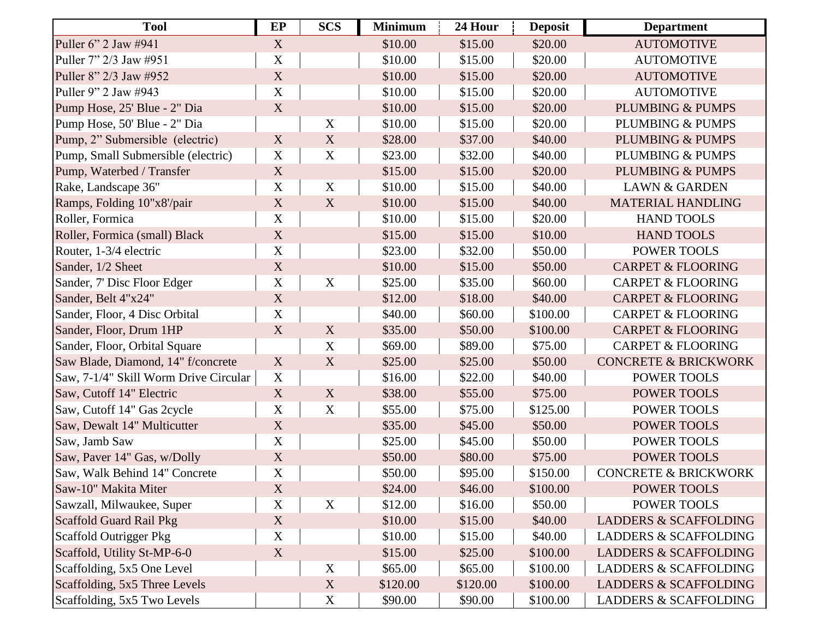| <b>Tool</b>                           | EP                        | <b>SCS</b>                | <b>Minimum</b> | 24 Hour  | <b>Deposit</b> | <b>Department</b>                |
|---------------------------------------|---------------------------|---------------------------|----------------|----------|----------------|----------------------------------|
| Puller 6" 2 Jaw #941                  | X                         |                           | \$10.00        | \$15.00  | \$20.00        | <b>AUTOMOTIVE</b>                |
| Puller 7" 2/3 Jaw #951                | $\mathbf X$               |                           | \$10.00        | \$15.00  | \$20.00        | <b>AUTOMOTIVE</b>                |
| Puller 8" 2/3 Jaw #952                | $\mathbf X$               |                           | \$10.00        | \$15.00  | \$20.00        | <b>AUTOMOTIVE</b>                |
| Puller 9" 2 Jaw #943                  | $\mathbf X$               |                           | \$10.00        | \$15.00  | \$20.00        | <b>AUTOMOTIVE</b>                |
| Pump Hose, 25' Blue - 2" Dia          | $\mathbf X$               |                           | \$10.00        | \$15.00  | \$20.00        | <b>PLUMBING &amp; PUMPS</b>      |
| Pump Hose, 50' Blue - 2" Dia          |                           | $\mathbf X$               | \$10.00        | \$15.00  | \$20.00        | <b>PLUMBING &amp; PUMPS</b>      |
| Pump, 2" Submersible (electric)       | X                         | $\mathbf X$               | \$28.00        | \$37.00  | \$40.00        | <b>PLUMBING &amp; PUMPS</b>      |
| Pump, Small Submersible (electric)    | $\mathbf X$               | $\mathbf X$               | \$23.00        | \$32.00  | \$40.00        | <b>PLUMBING &amp; PUMPS</b>      |
| Pump, Waterbed / Transfer             | $\mathbf X$               |                           | \$15.00        | \$15.00  | \$20.00        | <b>PLUMBING &amp; PUMPS</b>      |
| Rake, Landscape 36"                   | $\mathbf X$               | $\mathbf X$               | \$10.00        | \$15.00  | \$40.00        | <b>LAWN &amp; GARDEN</b>         |
| Ramps, Folding 10"x8'/pair            | $\mathbf X$               | $\mathbf X$               | \$10.00        | \$15.00  | \$40.00        | <b>MATERIAL HANDLING</b>         |
| Roller, Formica                       | X                         |                           | \$10.00        | \$15.00  | \$20.00        | <b>HAND TOOLS</b>                |
| Roller, Formica (small) Black         | $\mathbf X$               |                           | \$15.00        | \$15.00  | \$10.00        | <b>HAND TOOLS</b>                |
| Router, 1-3/4 electric                | $\mathbf X$               |                           | \$23.00        | \$32.00  | \$50.00        | POWER TOOLS                      |
| Sander, 1/2 Sheet                     | X                         |                           | \$10.00        | \$15.00  | \$50.00        | <b>CARPET &amp; FLOORING</b>     |
| Sander, 7' Disc Floor Edger           | $\mathbf X$               | X                         | \$25.00        | \$35.00  | \$60.00        | <b>CARPET &amp; FLOORING</b>     |
| Sander, Belt 4"x24"                   | $\mathbf X$               |                           | \$12.00        | \$18.00  | \$40.00        | <b>CARPET &amp; FLOORING</b>     |
| Sander, Floor, 4 Disc Orbital         | $\mathbf X$               |                           | \$40.00        | \$60.00  | \$100.00       | <b>CARPET &amp; FLOORING</b>     |
| Sander, Floor, Drum 1HP               | $\mathbf X$               | X                         | \$35.00        | \$50.00  | \$100.00       | <b>CARPET &amp; FLOORING</b>     |
| Sander, Floor, Orbital Square         |                           | X                         | \$69.00        | \$89.00  | \$75.00        | <b>CARPET &amp; FLOORING</b>     |
| Saw Blade, Diamond, 14" f/concrete    | $\boldsymbol{\mathrm{X}}$ | $\boldsymbol{\mathrm{X}}$ | \$25.00        | \$25.00  | \$50.00        | <b>CONCRETE &amp; BRICKWORK</b>  |
| Saw, 7-1/4" Skill Worm Drive Circular | $\mathbf X$               |                           | \$16.00        | \$22.00  | \$40.00        | POWER TOOLS                      |
| Saw, Cutoff 14" Electric              | $\mathbf X$               | $\boldsymbol{\mathrm{X}}$ | \$38.00        | \$55.00  | \$75.00        | <b>POWER TOOLS</b>               |
| Saw, Cutoff 14" Gas 2cycle            | $\mathbf X$               | $\mathbf X$               | \$55.00        | \$75.00  | \$125.00       | POWER TOOLS                      |
| Saw, Dewalt 14" Multicutter           | X                         |                           | \$35.00        | \$45.00  | \$50.00        | POWER TOOLS                      |
| Saw, Jamb Saw                         | $\mathbf X$               |                           | \$25.00        | \$45.00  | \$50.00        | POWER TOOLS                      |
| Saw, Paver 14" Gas, w/Dolly           | $\mathbf X$               |                           | \$50.00        | \$80.00  | \$75.00        | <b>POWER TOOLS</b>               |
| Saw, Walk Behind 14" Concrete         | $\mathbf X$               |                           | \$50.00        | \$95.00  | \$150.00       | <b>CONCRETE &amp; BRICKWORK</b>  |
| Saw-10" Makita Miter                  | X                         |                           | \$24.00        | \$46.00  | \$100.00       | POWER TOOLS                      |
| Sawzall, Milwaukee, Super             | $\mathbf X$               | $\mathbf X$               | \$12.00        | \$16.00  | \$50.00        | POWER TOOLS                      |
| Scaffold Guard Rail Pkg               | $\mathbf X$               |                           | \$10.00        | \$15.00  | \$40.00        | <b>LADDERS &amp; SCAFFOLDING</b> |
| Scaffold Outrigger Pkg                | X                         |                           | \$10.00        | \$15.00  | \$40.00        | <b>LADDERS &amp; SCAFFOLDING</b> |
| Scaffold, Utility St-MP-6-0           | X                         |                           | \$15.00        | \$25.00  | \$100.00       | <b>LADDERS &amp; SCAFFOLDING</b> |
| Scaffolding, 5x5 One Level            |                           | X                         | \$65.00        | \$65.00  | \$100.00       | <b>LADDERS &amp; SCAFFOLDING</b> |
| Scaffolding, 5x5 Three Levels         |                           | $\boldsymbol{\mathrm{X}}$ | \$120.00       | \$120.00 | \$100.00       | <b>LADDERS &amp; SCAFFOLDING</b> |
| Scaffolding, 5x5 Two Levels           |                           | X                         | \$90.00        | \$90.00  | \$100.00       | <b>LADDERS &amp; SCAFFOLDING</b> |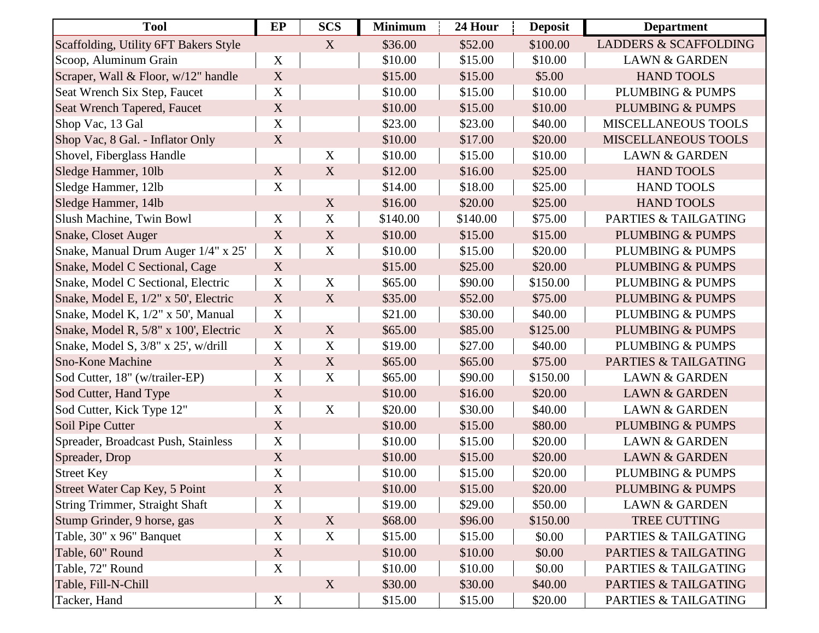| <b>Tool</b>                           | EP                        | <b>SCS</b>                | <b>Minimum</b> | 24 Hour  | <b>Deposit</b> | <b>Department</b>                |
|---------------------------------------|---------------------------|---------------------------|----------------|----------|----------------|----------------------------------|
| Scaffolding, Utility 6FT Bakers Style |                           | X                         | \$36.00        | \$52.00  | \$100.00       | <b>LADDERS &amp; SCAFFOLDING</b> |
| Scoop, Aluminum Grain                 | $\mathbf X$               |                           | \$10.00        | \$15.00  | \$10.00        | <b>LAWN &amp; GARDEN</b>         |
| Scraper, Wall & Floor, w/12" handle   | $\mathbf X$               |                           | \$15.00        | \$15.00  | \$5.00         | <b>HAND TOOLS</b>                |
| Seat Wrench Six Step, Faucet          | X                         |                           | \$10.00        | \$15.00  | \$10.00        | <b>PLUMBING &amp; PUMPS</b>      |
| Seat Wrench Tapered, Faucet           | X                         |                           | \$10.00        | \$15.00  | \$10.00        | <b>PLUMBING &amp; PUMPS</b>      |
| Shop Vac, 13 Gal                      | $\mathbf X$               |                           | \$23.00        | \$23.00  | \$40.00        | <b>MISCELLANEOUS TOOLS</b>       |
| Shop Vac, 8 Gal. - Inflator Only      | $\mathbf X$               |                           | \$10.00        | \$17.00  | \$20.00        | <b>MISCELLANEOUS TOOLS</b>       |
| Shovel, Fiberglass Handle             |                           | X                         | \$10.00        | \$15.00  | \$10.00        | <b>LAWN &amp; GARDEN</b>         |
| Sledge Hammer, 10lb                   | X                         | X                         | \$12.00        | \$16.00  | \$25.00        | <b>HAND TOOLS</b>                |
| Sledge Hammer, 12lb                   | $\boldsymbol{\mathrm{X}}$ |                           | \$14.00        | \$18.00  | \$25.00        | <b>HAND TOOLS</b>                |
| Sledge Hammer, 14lb                   |                           | X                         | \$16.00        | \$20.00  | \$25.00        | <b>HAND TOOLS</b>                |
| Slush Machine, Twin Bowl              | $\boldsymbol{X}$          | $\mathbf X$               | \$140.00       | \$140.00 | \$75.00        | PARTIES & TAILGATING             |
| <b>Snake, Closet Auger</b>            | X                         | $\mathbf X$               | \$10.00        | \$15.00  | \$15.00        | <b>PLUMBING &amp; PUMPS</b>      |
| Snake, Manual Drum Auger 1/4" x 25'   | $\mathbf X$               | $\mathbf X$               | \$10.00        | \$15.00  | \$20.00        | PLUMBING & PUMPS                 |
| Snake, Model C Sectional, Cage        | $\mathbf X$               |                           | \$15.00        | \$25.00  | \$20.00        | <b>PLUMBING &amp; PUMPS</b>      |
| Snake, Model C Sectional, Electric    | X                         | $\mathbf X$               | \$65.00        | \$90.00  | \$150.00       | PLUMBING & PUMPS                 |
| Snake, Model E, 1/2" x 50', Electric  | $\mathbf X$               | $\boldsymbol{\mathrm{X}}$ | \$35.00        | \$52.00  | \$75.00        | <b>PLUMBING &amp; PUMPS</b>      |
| Snake, Model K, 1/2" x 50', Manual    | $\mathbf X$               |                           | \$21.00        | \$30.00  | \$40.00        | PLUMBING & PUMPS                 |
| Snake, Model R, 5/8" x 100', Electric | $\mathbf X$               | X                         | \$65.00        | \$85.00  | \$125.00       | <b>PLUMBING &amp; PUMPS</b>      |
| Snake, Model S, 3/8" x 25', w/drill   | $\mathbf X$               | $\mathbf X$               | \$19.00        | \$27.00  | \$40.00        | PLUMBING & PUMPS                 |
| <b>Sno-Kone Machine</b>               | $\mathbf X$               | X                         | \$65.00        | \$65.00  | \$75.00        | <b>PARTIES &amp; TAILGATING</b>  |
| Sod Cutter, 18" (w/trailer-EP)        | $\mathbf X$               | $\mathbf X$               | \$65.00        | \$90.00  | \$150.00       | <b>LAWN &amp; GARDEN</b>         |
| Sod Cutter, Hand Type                 | $\mathbf X$               |                           | \$10.00        | \$16.00  | \$20.00        | <b>LAWN &amp; GARDEN</b>         |
| Sod Cutter, Kick Type 12"             | $\mathbf X$               | $\mathbf X$               | \$20.00        | \$30.00  | \$40.00        | <b>LAWN &amp; GARDEN</b>         |
| Soil Pipe Cutter                      | $\mathbf X$               |                           | \$10.00        | \$15.00  | \$80.00        | <b>PLUMBING &amp; PUMPS</b>      |
| Spreader, Broadcast Push, Stainless   | $\mathbf X$               |                           | \$10.00        | \$15.00  | \$20.00        | <b>LAWN &amp; GARDEN</b>         |
| Spreader, Drop                        | $\mathbf X$               |                           | \$10.00        | \$15.00  | \$20.00        | <b>LAWN &amp; GARDEN</b>         |
| <b>Street Key</b>                     | $\mathbf X$               |                           | \$10.00        | \$15.00  | \$20.00        | PLUMBING & PUMPS                 |
| Street Water Cap Key, 5 Point         | X                         |                           | \$10.00        | \$15.00  | \$20.00        | <b>PLUMBING &amp; PUMPS</b>      |
| String Trimmer, Straight Shaft        | $\mathbf X$               |                           | \$19.00        | \$29.00  | \$50.00        | <b>LAWN &amp; GARDEN</b>         |
| Stump Grinder, 9 horse, gas           | $\mathbf X$               | X                         | \$68.00        | \$96.00  | \$150.00       | TREE CUTTING                     |
| Table, 30" x 96" Banquet              | $\mathbf X$               | $\mathbf X$               | \$15.00        | \$15.00  | \$0.00         | PARTIES & TAILGATING             |
| Table, 60" Round                      | X                         |                           | \$10.00        | \$10.00  | \$0.00         | PARTIES & TAILGATING             |
| Table, 72" Round                      | $\mathbf X$               |                           | \$10.00        | \$10.00  | \$0.00         | <b>PARTIES &amp; TAILGATING</b>  |
| Table, Fill-N-Chill                   |                           | X                         | \$30.00        | \$30.00  | \$40.00        | PARTIES & TAILGATING             |
| Tacker, Hand                          | X                         |                           | \$15.00        | \$15.00  | \$20.00        | PARTIES & TAILGATING             |